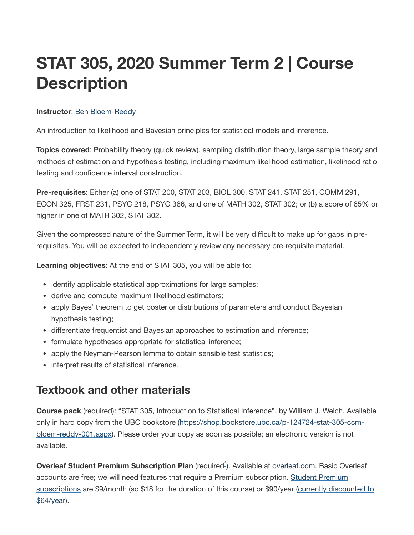# **STAT 305, 2020 Summer Term 2 | Course Description**

#### **Instructor: Ben [Bloem-Reddy](https://www.stat.ubc.ca/~benbr/)**

An introduction to likelihood and Bayesian principles for statistical models and inference.

**Topics covered**: Probability theory (quick review), sampling distribution theory, large sample theory and methods of estimation and hypothesis testing, including maximum likelihood estimation, likelihood ratio testing and confidence interval construction.

**Pre-requisites**: Either (a) one of STAT 200, STAT 203, BIOL 300, STAT 241, STAT 251, COMM 291, ECON 325, FRST 231, PSYC 218, PSYC 366, and one of MATH 302, STAT 302; or (b) a score of 65% or higher in one of MATH 302, STAT 302.

Given the compressed nature of the Summer Term, it will be very difficult to make up for gaps in prerequisites. You will be expected to independently review any necessary pre-requisite material.

**Learning objectives**: At the end of STAT 305, you will be able to:

- identify applicable statistical approximations for large samples;
- derive and compute maximum likelihood estimators;
- apply Bayes' theorem to get posterior distributions of parameters and conduct Bayesian hypothesis testing;
- differentiate frequentist and Bayesian approaches to estimation and inference;
- formulate hypotheses appropriate for statistical inference;
- apply the Neyman-Pearson lemma to obtain sensible test statistics;
- interpret results of statistical inference.

#### **Textbook and other materials**

**Course pack** (required): "STAT 305, Introduction to Statistical Inference", by William J. Welch. Available only in hard copy from the UBC bookstore [\(https://shop.bookstore.ubc.ca/p-124724-stat-305-ccm](https://shop.bookstore.ubc.ca/p-124724-stat-305-ccm-bloem-reddy-001.aspx)bloem-reddy-001.aspx). Please order your copy as soon as possible; an electronic version is not available.

Overleaf Student Premium Subscription Plan (required<sup>-[\\*](#page-1-0)</sup>). Available at [overleaf.com](https://www.overleaf.com/). Basic Overleaf accounts are free; we will need features that require a Premium subscription. Student Premium subscriptions are \$9/month (so \$18 for the duration of this course) or \$90/year [\(currently disco](https://www.overleaf.com/user/subscription/plans)[unted](https://www.overleaf.com/events/wfh2020) to \$64/year).